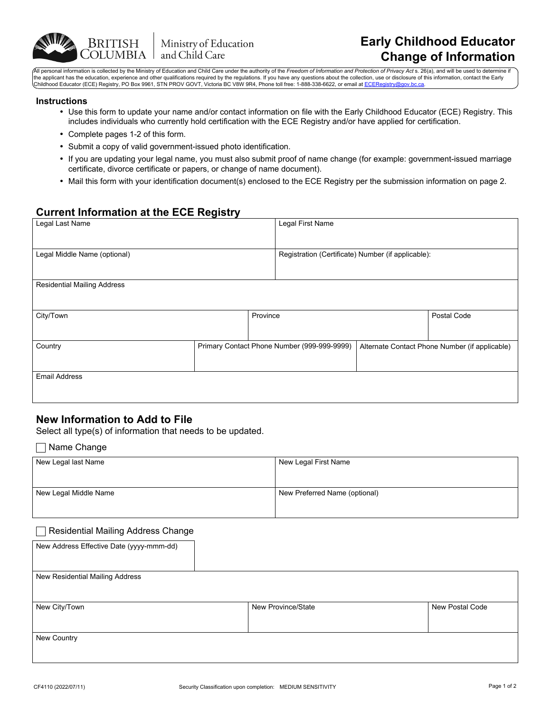

All personal information is collected by the Ministry of Education and Child Care under the authority of the Freedom of Information and Protection of Privacy Act s. 26(a), and will be used to determine the applicant has the education, experience and other qualifications required by the regulations. If you have any questions about the collection, use or disclosure of this information, contact the Early<br>Childhood Educator

### **Instructions**

- Use this form to update your name and/or contact information on file with the Early Childhood Educator (ECE) Registry. This includes individuals who currently hold certification with the ECE Registry and/or have applied for certification.
- Complete pages 1-2 of this form.

**BRITISH** 

- Submit a copy of valid government-issued photo identification.
- If you are updating your legal name, you must also submit proof of name change (for example: government-issued marriage certificate, divorce certificate or papers, or change of name document).
- Mail this form with your identification document(s) enclosed to the ECE Registry per the submission information on page 2.

## **Current Information at the ECE Registry**

| Legal Last Name                    |  | Legal First Name                                   |  |                                                |
|------------------------------------|--|----------------------------------------------------|--|------------------------------------------------|
|                                    |  |                                                    |  |                                                |
| Legal Middle Name (optional)       |  | Registration (Certificate) Number (if applicable): |  |                                                |
|                                    |  |                                                    |  |                                                |
| <b>Residential Mailing Address</b> |  |                                                    |  |                                                |
|                                    |  |                                                    |  |                                                |
| City/Town<br>Province              |  |                                                    |  | Postal Code                                    |
|                                    |  |                                                    |  |                                                |
| Country                            |  | Primary Contact Phone Number (999-999-9999)        |  | Alternate Contact Phone Number (if applicable) |
|                                    |  |                                                    |  |                                                |
| <b>Email Address</b>               |  |                                                    |  |                                                |
|                                    |  |                                                    |  |                                                |

## **New Information to Add to File**

Select all type(s) of information that needs to be updated.

### Name Change

| New Legal last Name   | New Legal First Name          |  |
|-----------------------|-------------------------------|--|
|                       |                               |  |
| New Legal Middle Name | New Preferred Name (optional) |  |
|                       |                               |  |

### **■ Residential Mailing Address Change**

| New Province/State | <b>New Postal Code</b> |
|--------------------|------------------------|
|                    |                        |
|                    |                        |
|                    |                        |
|                    |                        |